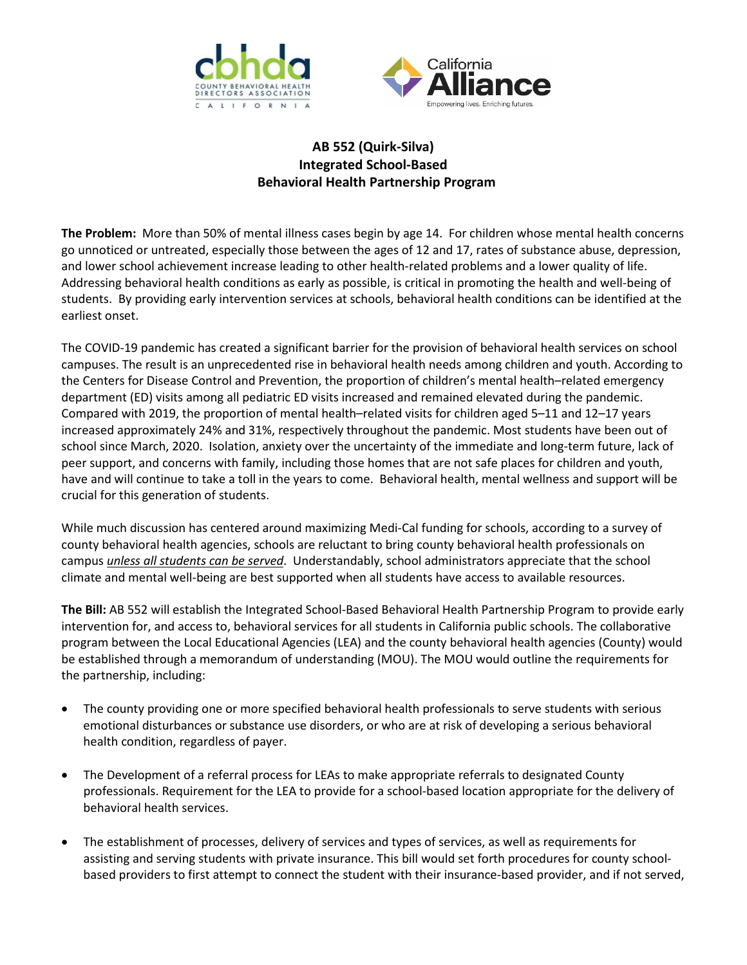



## **AB 552 (Quirk-Silva) Integrated School-Based Behavioral Health Partnership Program**

**The Problem:** More than 50% of mental illness cases begin by age 14. For children whose mental health concerns go unnoticed or untreated, especially those between the ages of 12 and 17, rates of substance abuse, depression, and lower school achievement increase leading to other health-related problems and a lower quality of life. Addressing behavioral health conditions as early as possible, is critical in promoting the health and well-being of students. By providing early intervention services at schools, behavioral health conditions can be identified at the earliest onset.

The COVID-19 pandemic has created a significant barrier for the provision of behavioral health services on school campuses. The result is an unprecedented rise in behavioral health needs among children and youth. According to the Centers for Disease Control and Prevention, the proportion of children's mental health–related emergency department (ED) visits among all pediatric ED visits increased and remained elevated during the pandemic. Compared with 2019, the proportion of mental health–related visits for children aged 5–11 and 12–17 years increased approximately 24% and 31%, respectively throughout the pandemic. Most students have been out of school since March, 2020. Isolation, anxiety over the uncertainty of the immediate and long-term future, lack of peer support, and concerns with family, including those homes that are not safe places for children and youth, have and will continue to take a toll in the years to come. Behavioral health, mental wellness and support will be crucial for this generation of students.

While much discussion has centered around maximizing Medi-Cal funding for schools, according to a survey of county behavioral health agencies, schools are reluctant to bring county behavioral health professionals on campus *unless all students can be served*. Understandably, school administrators appreciate that the school climate and mental well-being are best supported when all students have access to available resources.

**The Bill:** AB 552 will establish the Integrated School-Based Behavioral Health Partnership Program to provide early intervention for, and access to, behavioral services for all students in California public schools. The collaborative program between the Local Educational Agencies (LEA) and the county behavioral health agencies (County) would be established through a memorandum of understanding (MOU). The MOU would outline the requirements for the partnership, including:

- The county providing one or more specified behavioral health professionals to serve students with serious emotional disturbances or substance use disorders, or who are at risk of developing a serious behavioral health condition, regardless of payer.
- The Development of a referral process for LEAs to make appropriate referrals to designated County professionals. Requirement for the LEA to provide for a school-based location appropriate for the delivery of behavioral health services.
- The establishment of processes, delivery of services and types of services, as well as requirements for assisting and serving students with private insurance. This bill would set forth procedures for county schoolbased providers to first attempt to connect the student with their insurance-based provider, and if not served,